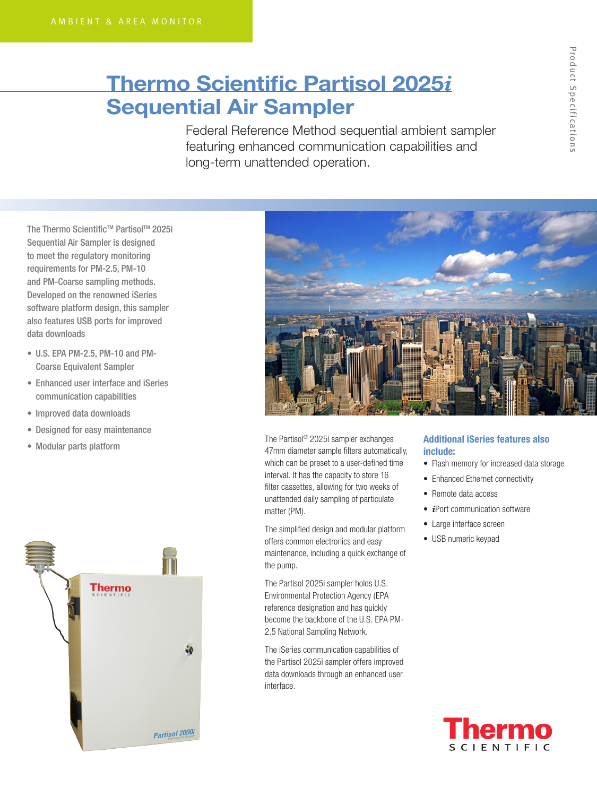# Thermo Scientific Partisol 2025*i* Sequential Air Sampler

Federal Reference Method sequential ambient sampler featuring enhanced communication capabilities and long-term unattended operation.

The Thermo Scientific™ Partisol™ 2025i Sequential Air Sampler is designed to meet the regulatory monitoring requirements for PM-2.5, PM-10 and PM-Coarse sampling methods. Developed on the renowned iSeries software platform design, this sampler also features USB ports for improved data downloads

- U.S. EPA PM-2.5, PM-10 and PM-Coarse Equivalent Sampler
- Enhanced user interface and iSeries communication capabilities
- • Improved data downloads
- • Designed for easy maintenance
- • Modular parts platform





The Partisol® 2025i sampler exchanges 47mm diameter sample filters automatically, which can be preset to a user-defined time interval. It has the capacity to store 16 filter cassettes, allowing for two weeks of unattended daily sampling of particulate matter (PM).

The simplified design and modular platform offers common electronics and easy maintenance, including a quick exchange of the pump.

The Partisol 2025i sampler holds U.S. Environmental Protection Agency (EPA reference designation and has quickly become the backbone of the U.S. EPA PM-2.5 National Sampling Network.

The iSeries communication capabilities of the Partisol 2025i sampler offers improved data downloads through an enhanced user interface.

### Additional iSeries features also include:

- Flash memory for increased data storage
- Enhanced Ethernet connectivity
- Remote data access
- *i*Port communication software
- Large interface screen
- USB numeric keypad